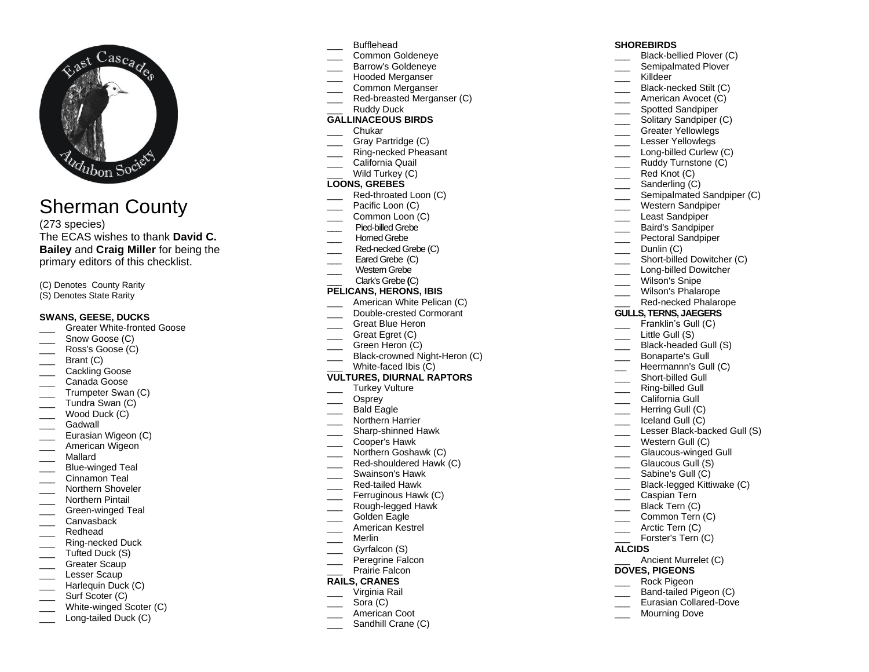

# Sherman County

(2 7 <sup>3</sup> species) The ECAS wishes to thank **David C. Bailey** and **Craig Miller** for being the primary editors of this checklist.

(C) Denotes County Rarity

(S) Denotes State Rarity

## **SWANS, GEESE, DUCKS**

- \_\_\_ Greater White -fronted Goose
- Snow Goose (C)
- Ross's Goose (C)
- Brant (C)
- Cackling Goose
- Canada Goose
- Trumpeter Swan (C)
- Tundra Swan (C)
- Wood Duck (C)
- Gadwall
- $\overline{\phantom{a}}$ Eurasian Wigeon (C)
- American Wigeon
- \_\_\_ Mallard
- \_\_\_ Blue -winged Teal
- Cinnamon Teal
- Northern Shoveler
- Northern Pintail
- \_\_\_ Green -winged Teal Canvasback
- Redhead
- 
- \_\_\_ Ring -necked Duck Tufted Duck (S)
- Greater Scaup
- Lesser Scaup
- Harlequin Duck (C)
- Surf Scoter (C)
- \_\_\_ White -winged Scoter (C)
- \_\_\_ Long -tailed Duck (C)
- \_\_\_ Bufflehead
- \_\_\_ Common Goldeneye
- Barrow's Goldeneye
- \_\_\_ Hooded Merganser
- \_\_\_ Common Merganser
- \_\_\_ Red -breasted Merganser (C) Ruddy Duck
- **GALLINACEOUS BIRDS**
- \_\_\_ Chukar
- Gray Partridge (C)
- \_\_\_ Ring -necked Pheasant
- \_\_\_ California Quail
- Wild Turkey (C)

## **LOONS, GREBES**

- \_\_\_ Red -throated Loon (C)
- Pacific Loon (C)
- Common Loon (C)
- **\_\_\_** Pied -billed Grebe
- \_\_\_ Horned Grebe
- \_\_\_ Red -necked Grebe (C)
- Eared Grebe (C)
- Western Grebe
- \_\_\_ Clark's Grebe **(**C)

## **PELICANS, HERONS, IBIS**

- American White Pelican (C)
- \_\_\_ Double -crested Cormorant
- Great Blue Heron
- Great Egret (C)
- Green Heron (C)
- \_\_\_ Black-crowned Night-Heron (C)
- \_\_\_ White -faced Ibis (C) **VULTURES, DIURNAL RAPTORS**
	- Turkey Vulture
- \_\_\_ Osprey
- Bald Eagle
- Northern Harrier
- \_\_\_ Sharp -shinned Hawk
- \_\_\_ Cooper's Hawk
- Northern Goshawk (C)
- \_\_\_ Red -shouldered Hawk (C)
- \_\_\_ Swainson's Hawk
- \_\_\_ Red -tailed Hawk
- Ferruginous Hawk (C)
- \_\_\_ Rough -legged Hawk
- Golden Eagle
- American Kestrel
- \_\_\_ Merlin
- Gyrfalcon (S)
- Peregrine Falcon
- Prairie Falcon

# **RAILS, CRANES**

- Virginia Rail
- Sora (C)
- American Coot
- Sandhill Crane (C)

## **SHOREBIRDS**

- \_\_\_ Black -bellied Plover (C)
- Semipalmated Plover
- \_\_\_ Killdeer
- \_\_\_ Black -necked Stilt (C)
- \_\_\_ American Avocet (C)
- Spotted Sandpiper
- Solitary Sandpiper (C)
- Greater Yellowlegs
- \_\_\_ Lesser Yellowlegs
- \_\_\_ Long -billed Curlew (C)
- Ruddy Turnstone (C)

\_\_\_ Western Sandpiper Least Sandpiper Baird's Sandpiper Pectoral Sandpiper Dunlin (C)

\_\_\_ Short -billed Dowitcher (C) \_\_\_ Long -billed Dowitcher Wilson's Snipe Wilson's Phalarope \_\_\_ Red -necked Phalarope **GULLS, TERNS, JAEGERS** Franklin's Gull (C) Little Gull (S) \_\_\_ Black -headed Gull (S) \_\_\_ Bonaparte's Gull \_\_\_ Heermannn's Gull (C) \_\_\_ Short -billed Gull \_\_\_ Ring -billed Gull California Gull Herring Gull (C) \_\_\_ Iceland Gull (C)

\_\_\_ Lesser Black-backed Gull (S) Western Gull (C) \_\_\_ Glaucous -winged Gull Glaucous Gull (S) \_\_\_\_ Sabine's Gull (C)

\_\_\_ Black -legged Kittiwake (C) \_\_\_ Caspian Tern Black Tern (C) Common Tern (C)

Forster's Tern (C)

Ancient Murrelet (C)

\_\_\_ Arctic Tern (C)

**DOVES, PIGEONS** \_\_\_ Rock Pigeon \_\_\_ Band -tailed Pigeon (C) \_\_\_ Eurasian Collared -Dove Mourning Dove

**ALCIDS**

Semipalmated Sandpiper (C)

- Red Knot (C)
- Sanderling (C)